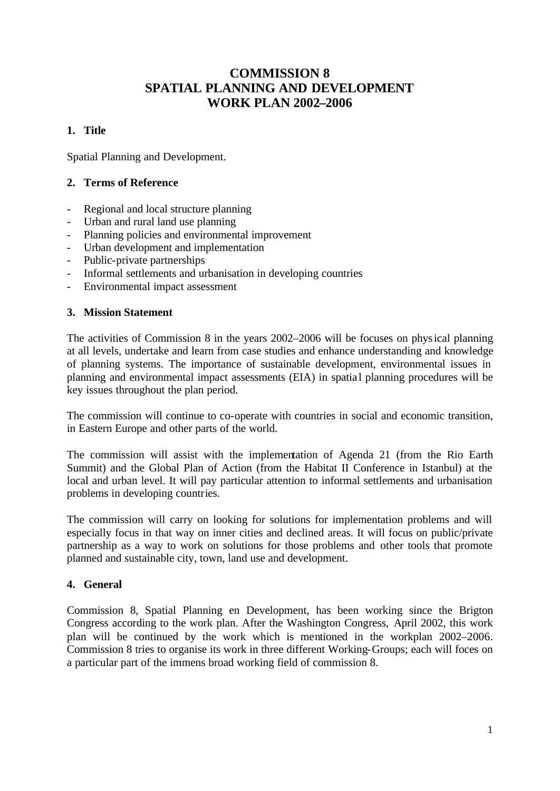# **COMMISSION 8 SPATIAL PLANNING AND DEVELOPMENT WORK PLAN 2002–2006**

## **1. Title**

Spatial Planning and Development.

### **2. Terms of Reference**

- Regional and local structure planning
- Urban and rural land use planning
- Planning policies and environmental improvement
- Urban development and implementation
- Public-private partnerships
- Informal settlements and urbanisation in developing countries
- Environmental impact assessment

### **3. Mission Statement**

The activities of Commission 8 in the years 2002–2006 will be focuses on physical planning at all levels, undertake and learn from case studies and enhance understanding and knowledge of planning systems. The importance of sustainable development, environmental issues in planning and environmental impact assessments (EIA) in spatia l planning procedures will be key issues throughout the plan period.

The commission will continue to co-operate with countries in social and economic transition, in Eastern Europe and other parts of the world.

The commission will assist with the implementation of Agenda 21 (from the Rio Earth Summit) and the Global Plan of Action (from the Habitat II Conference in Istanbul) at the local and urban level. It will pay particular attention to informal settlements and urbanisation problems in developing countries.

The commission will carry on looking for solutions for implementation problems and will especially focus in that way on inner cities and declined areas. It will focus on public/private partnership as a way to work on solutions for those problems and other tools that promote planned and sustainable city, town, land use and development.

### **4. General**

Commission 8, Spatial Planning en Development, has been working since the Brigton Congress according to the work plan. After the Washington Congress, April 2002, this work plan will be continued by the work which is mentioned in the workplan 2002–2006. Commission 8 tries to organise its work in three different Working-Groups; each will foces on a particular part of the immens broad working field of commission 8.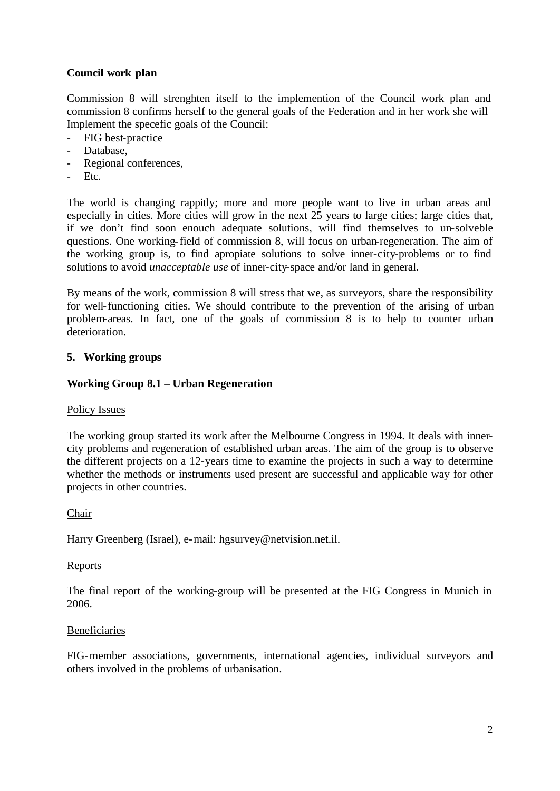## **Council work plan**

Commission 8 will strenghten itself to the implemention of the Council work plan and commission 8 confirms herself to the general goals of the Federation and in her work she will Implement the specefic goals of the Council:

- FIG best-practice
- Database,
- Regional conferences,
- Etc.

The world is changing rappitly; more and more people want to live in urban areas and especially in cities. More cities will grow in the next 25 years to large cities; large cities that, if we don't find soon enouch adequate solutions, will find themselves to un-solveble questions. One working-field of commission 8, will focus on urban-regeneration. The aim of the working group is, to find apropiate solutions to solve inner-city-problems or to find solutions to avoid *unacceptable use* of inner-city-space and/or land in general.

By means of the work, commission 8 will stress that we, as surveyors, share the responsibility for well-functioning cities. We should contribute to the prevention of the arising of urban problem-areas. In fact, one of the goals of commission 8 is to help to counter urban deterioration.

### **5. Working groups**

#### **Working Group 8.1 – Urban Regeneration**

#### Policy Issues

The working group started its work after the Melbourne Congress in 1994. It deals with innercity problems and regeneration of established urban areas. The aim of the group is to observe the different projects on a 12-years time to examine the projects in such a way to determine whether the methods or instruments used present are successful and applicable way for other projects in other countries.

#### Chair

Harry Greenberg (Israel), e-mail: hgsurvey@netvision.net.il.

#### Reports

The final report of the working-group will be presented at the FIG Congress in Munich in 2006.

#### Beneficiaries

FIG-member associations, governments, international agencies, individual surveyors and others involved in the problems of urbanisation.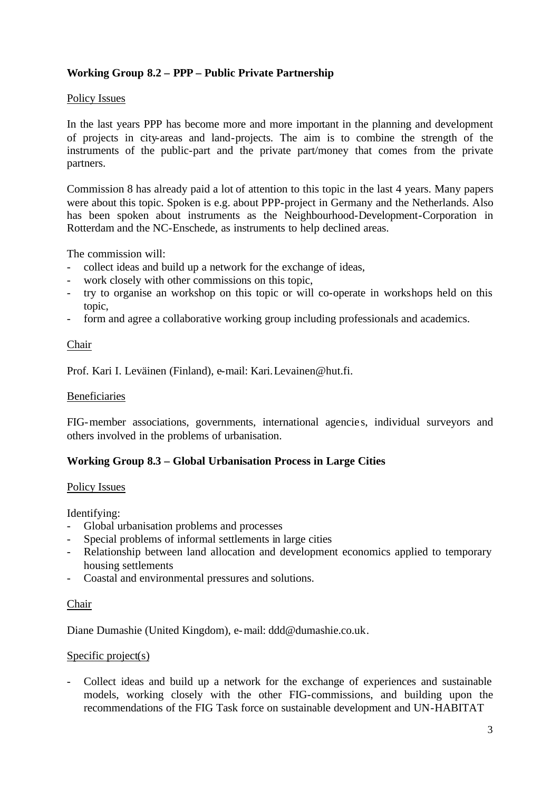# **Working Group 8.2 – PPP – Public Private Partnership**

#### Policy Issues

In the last years PPP has become more and more important in the planning and development of projects in city-areas and land-projects. The aim is to combine the strength of the instruments of the public-part and the private part/money that comes from the private partners.

Commission 8 has already paid a lot of attention to this topic in the last 4 years. Many papers were about this topic. Spoken is e.g. about PPP-project in Germany and the Netherlands. Also has been spoken about instruments as the Neighbourhood-Development-Corporation in Rotterdam and the NC-Enschede, as instruments to help declined areas.

The commission will:

- collect ideas and build up a network for the exchange of ideas,
- work closely with other commissions on this topic,
- try to organise an workshop on this topic or will co-operate in workshops held on this topic,
- form and agree a collaborative working group including professionals and academics.

### Chair

Prof. Kari I. Leväinen (Finland), e-mail: Kari.Levainen@hut.fi.

#### Beneficiaries

FIG-member associations, governments, international agencie s, individual surveyors and others involved in the problems of urbanisation.

#### **Working Group 8.3 – Global Urbanisation Process in Large Cities**

#### Policy Issues

Identifying:

- Global urbanisation problems and processes
- Special problems of informal settlements in large cities
- Relationship between land allocation and development economics applied to temporary housing settlements
- Coastal and environmental pressures and solutions.

#### Chair

Diane Dumashie (United Kingdom), e-mail: ddd@dumashie.co.uk.

#### Specific project(s)

- Collect ideas and build up a network for the exchange of experiences and sustainable models, working closely with the other FIG-commissions, and building upon the recommendations of the FIG Task force on sustainable development and UN-HABITAT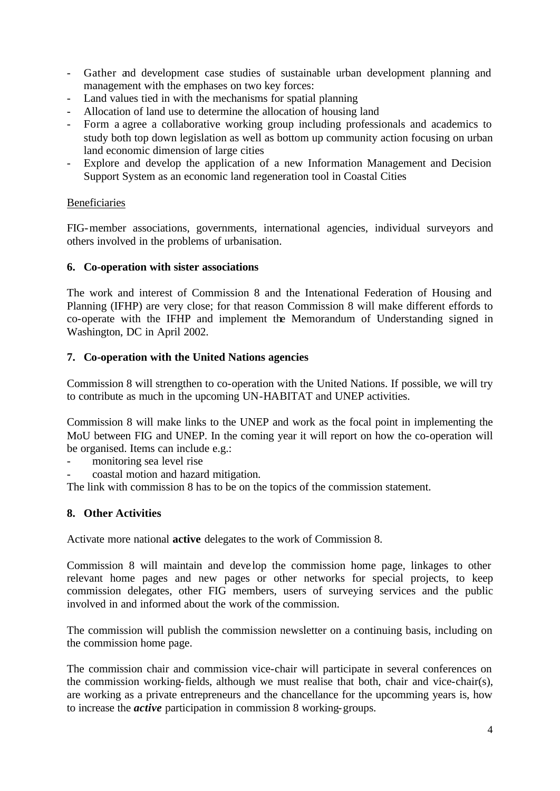- Gather and development case studies of sustainable urban development planning and management with the emphases on two key forces:
- Land values tied in with the mechanisms for spatial planning
- Allocation of land use to determine the allocation of housing land
- Form a agree a collaborative working group including professionals and academics to study both top down legislation as well as bottom up community action focusing on urban land economic dimension of large cities
- Explore and develop the application of a new Information Management and Decision Support System as an economic land regeneration tool in Coastal Cities

### **Beneficiaries**

FIG-member associations, governments, international agencies, individual surveyors and others involved in the problems of urbanisation.

### **6. Co-operation with sister associations**

The work and interest of Commission 8 and the Intenational Federation of Housing and Planning (IFHP) are very close; for that reason Commission 8 will make different effords to co-operate with the IFHP and implement the Memorandum of Understanding signed in Washington, DC in April 2002.

### **7. Co-operation with the United Nations agencies**

Commission 8 will strengthen to co-operation with the United Nations. If possible, we will try to contribute as much in the upcoming UN-HABITAT and UNEP activities.

Commission 8 will make links to the UNEP and work as the focal point in implementing the MoU between FIG and UNEP. In the coming year it will report on how the co-operation will be organised. Items can include e.g.:

- monitoring sea level rise
- coastal motion and hazard mitigation.

The link with commission 8 has to be on the topics of the commission statement.

### **8. Other Activities**

Activate more national **active** delegates to the work of Commission 8.

Commission 8 will maintain and deve lop the commission home page, linkages to other relevant home pages and new pages or other networks for special projects, to keep commission delegates, other FIG members, users of surveying services and the public involved in and informed about the work of the commission.

The commission will publish the commission newsletter on a continuing basis, including on the commission home page.

The commission chair and commission vice-chair will participate in several conferences on the commission working-fields, although we must realise that both, chair and vice-chair(s), are working as a private entrepreneurs and the chancellance for the upcomming years is, how to increase the *active* participation in commission 8 working-groups.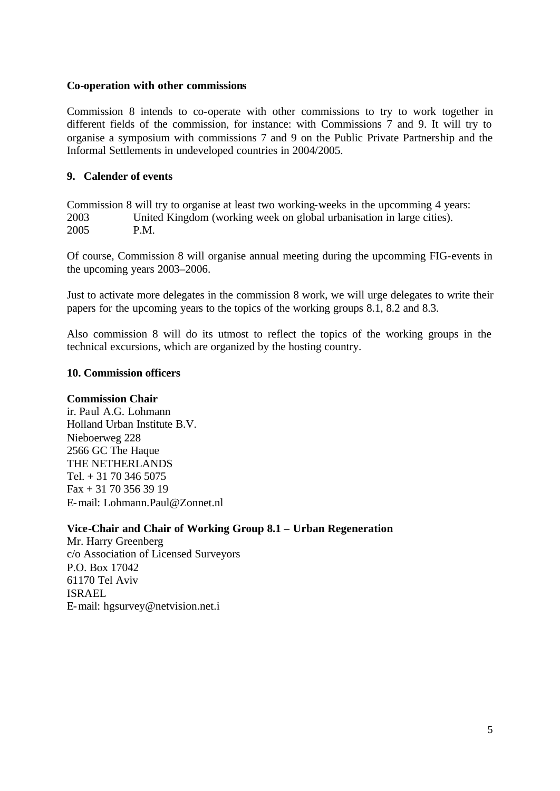#### **Co-operation with other commissions**

Commission 8 intends to co-operate with other commissions to try to work together in different fields of the commission, for instance: with Commissions 7 and 9. It will try to organise a symposium with commissions 7 and 9 on the Public Private Partnership and the Informal Settlements in undeveloped countries in 2004/2005.

### **9. Calender of events**

Commission 8 will try to organise at least two working-weeks in the upcomming 4 years: 2003 United Kingdom (working week on global urbanisation in large cities). 2005 P.M.

Of course, Commission 8 will organise annual meeting during the upcomming FIG-events in the upcoming years 2003–2006.

Just to activate more delegates in the commission 8 work, we will urge delegates to write their papers for the upcoming years to the topics of the working groups 8.1, 8.2 and 8.3.

Also commission 8 will do its utmost to reflect the topics of the working groups in the technical excursions, which are organized by the hosting country.

### **10. Commission officers**

#### **Commission Chair**

ir. Paul A.G. Lohmann Holland Urban Institute B.V. Nieboerweg 228 2566 GC The Haque THE NETHERLANDS Tel.  $+31$  70 346 5075  $Fax + 31703563919$ E-mail: Lohmann.Paul@Zonnet.nl

**Vice-Chair and Chair of Working Group 8.1 – Urban Regeneration**

Mr. Harry Greenberg c/o Association of Licensed Surveyors P.O. Box 17042 61170 Tel Aviv ISRAEL E-mail: hgsurvey@netvision.net.i